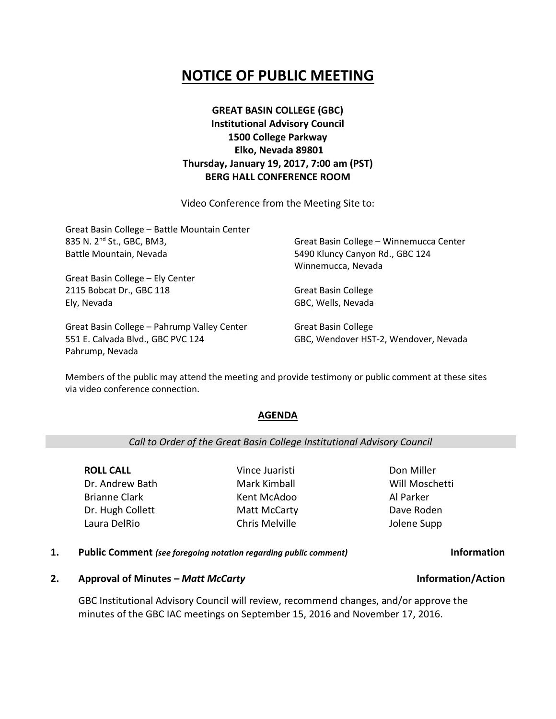# **NOTICE OF PUBLIC MEETING**

**GREAT BASIN COLLEGE (GBC) Institutional Advisory Council 1500 College Parkway Elko, Nevada 89801 Thursday, January 19, 2017, 7:00 am (PST) BERG HALL CONFERENCE ROOM**

Video Conference from the Meeting Site to:

| Great Basin College - Battle Mountain Center |                                         |
|----------------------------------------------|-----------------------------------------|
| 835 N. 2 <sup>nd</sup> St., GBC, BM3,        | Great Basin College - Winnemucca Center |
| Battle Mountain, Nevada                      | 5490 Kluncy Canyon Rd., GBC 124         |
|                                              | Winnemucca, Nevada                      |
| Great Basin College - Ely Center             |                                         |
| 2115 Bobcat Dr., GBC 118                     | <b>Great Basin College</b>              |
| Ely, Nevada                                  | GBC, Wells, Nevada                      |
| Great Basin College - Pahrump Valley Center  | <b>Great Basin College</b>              |

Members of the public may attend the meeting and provide testimony or public comment at these sites via video conference connection.

### **AGENDA**

*Call to Order of the Great Basin College Institutional Advisory Council*

**ROLL CALL** Dr. Andrew Bath Brianne Clark Dr. Hugh Collett Laura DelRio

551 E. Calvada Blvd., GBC PVC 124

Pahrump, Nevada

Mark Kimball Kent McAdoo Matt McCarty Chris Melville

Vince Juaristi

Don Miller Will Moschetti Al Parker Dave Roden Jolene Supp

GBC, Wendover HST-2, Wendover, Nevada

- **1. Public Comment** *(see foregoing notation regarding public comment)* **Information**
- **2. Approval of Minutes –** *Matt McCarty* **Information/Action**

GBC Institutional Advisory Council will review, recommend changes, and/or approve the minutes of the GBC IAC meetings on September 15, 2016 and November 17, 2016.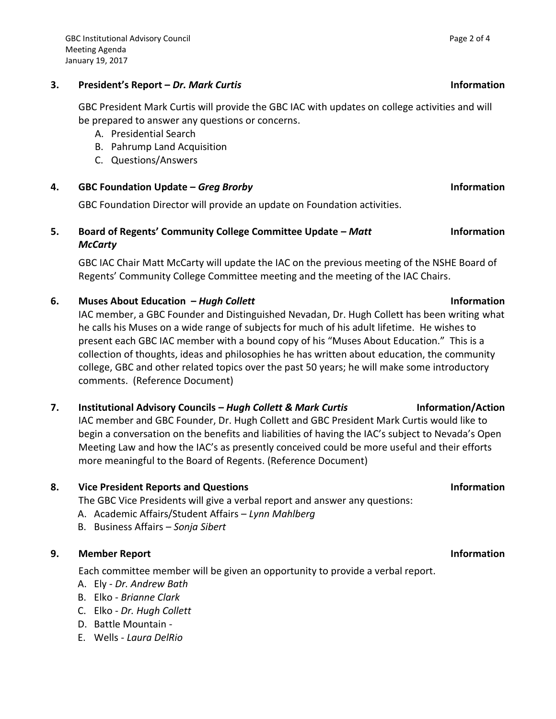# **3. President's Report –** *Dr. Mark Curtis* **Information**

GBC President Mark Curtis will provide the GBC IAC with updates on college activities and will be prepared to answer any questions or concerns.

- A. Presidential Search
- B. Pahrump Land Acquisition
- C. Questions/Answers
- **4. GBC Foundation Update –** *Greg Brorby* **Information**

GBC Foundation Director will provide an update on Foundation activities.

# **5. Board of Regents' Community College Committee Update –** *Matt McCarty*

GBC IAC Chair Matt McCarty will update the IAC on the previous meeting of the NSHE Board of Regents' Community College Committee meeting and the meeting of the IAC Chairs.

# **6. Muses About Education –** *Hugh Collett* **Information**

IAC member, a GBC Founder and Distinguished Nevadan, Dr. Hugh Collett has been writing what he calls his Muses on a wide range of subjects for much of his adult lifetime. He wishes to present each GBC IAC member with a bound copy of his "Muses About Education." This is a collection of thoughts, ideas and philosophies he has written about education, the community college, GBC and other related topics over the past 50 years; he will make some introductory comments. (Reference Document)

# **7. Institutional Advisory Councils –** *Hugh Collett & Mark Curtis* **Information/Action**

IAC member and GBC Founder, Dr. Hugh Collett and GBC President Mark Curtis would like to begin a conversation on the benefits and liabilities of having the IAC's subject to Nevada's Open Meeting Law and how the IAC's as presently conceived could be more useful and their efforts more meaningful to the Board of Regents. (Reference Document)

# **8. Vice President Reports and Questions Information**

The GBC Vice Presidents will give a verbal report and answer any questions:

- A. Academic Affairs/Student Affairs *Lynn Mahlberg*
- B. Business Affairs *Sonja Sibert*

# **9. Member Report Information**

Each committee member will be given an opportunity to provide a verbal report.

- A. Ely *Dr. Andrew Bath*
- B. Elko *Brianne Clark*
- C. Elko *Dr. Hugh Collett*
- D. Battle Mountain -
- E. Wells *Laura DelRio*

# **Information**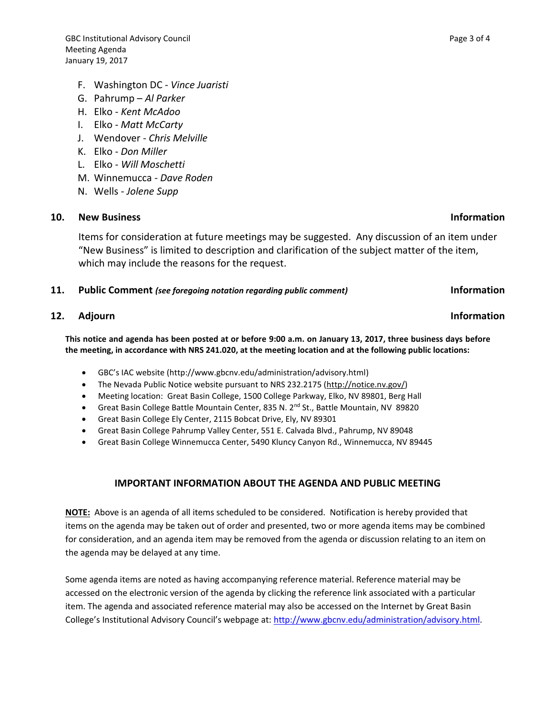- F. Washington DC *Vince Juaristi*
- G. Pahrump *Al Parker*
- H. Elko *Kent McAdoo*
- I. Elko *Matt McCarty*
- J. Wendover *Chris Melville*
- K. Elko *Don Miller*
- L. Elko *Will Moschetti*
- M. Winnemucca *Dave Roden*
- N. Wells *Jolene Supp*

### **10. New Business Information**

Items for consideration at future meetings may be suggested. Any discussion of an item under "New Business" is limited to description and clarification of the subject matter of the item, which may include the reasons for the request.

### **11. Public Comment** *(see foregoing notation regarding public comment)* **Information**

# **12.** Adjourn **Information**

**This notice and agenda has been posted at or before 9:00 a.m. on January 13, 2017, three business days before the meeting, in accordance with NRS 241.020, at the meeting location and at the following public locations:**

- GBC's IAC website (http://www.gbcnv.edu/administration/advisory.html)
- The Nevada Public Notice website pursuant to NRS 232.2175 [\(http://notice.nv.gov/\)](http://notice.nv.gov/)
- Meeting location: Great Basin College, 1500 College Parkway, Elko, NV 89801, Berg Hall
- Great Basin College Battle Mountain Center, 835 N. 2<sup>nd</sup> St., Battle Mountain, NV 89820
- Great Basin College Ely Center, 2115 Bobcat Drive, Ely, NV 89301
- Great Basin College Pahrump Valley Center, 551 E. Calvada Blvd., Pahrump, NV 89048
- Great Basin College Winnemucca Center, 5490 Kluncy Canyon Rd., Winnemucca, NV 89445

# **IMPORTANT INFORMATION ABOUT THE AGENDA AND PUBLIC MEETING**

**NOTE:** Above is an agenda of all items scheduled to be considered. Notification is hereby provided that items on the agenda may be taken out of order and presented, two or more agenda items may be combined for consideration, and an agenda item may be removed from the agenda or discussion relating to an item on the agenda may be delayed at any time.

Some agenda items are noted as having accompanying reference material. Reference material may be accessed on the electronic version of the agenda by clicking the reference link associated with a particular item. The agenda and associated reference material may also be accessed on the Internet by Great Basin College's Institutional Advisory Council's webpage at: [http://www.gbcnv.edu/administration/advisory.html.](http://www.gbcnv.edu/administration/advisory.html)